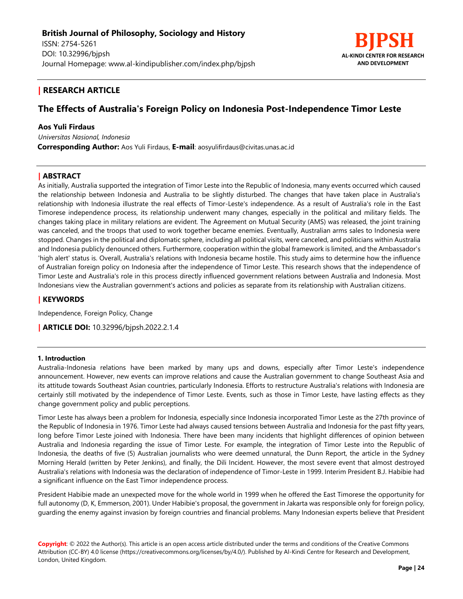

## **| RESEARCH ARTICLE**

# **The Effects of Australia's Foreign Policy on Indonesia Post-Independence Timor Leste**

## **Aos Yuli Firdaus**

*Universitas Nasional, Indonesia*  **Corresponding Author:** Aos Yuli Firdaus, **E-mail**: aosyulifirdaus@civitas.unas.ac.id

## **| ABSTRACT**

As initially, Australia supported the integration of Timor Leste into the Republic of Indonesia, many events occurred which caused the relationship between Indonesia and Australia to be slightly disturbed. The changes that have taken place in Australia's relationship with Indonesia illustrate the real effects of Timor-Leste's independence. As a result of Australia's role in the East Timorese independence process, its relationship underwent many changes, especially in the political and military fields. The changes taking place in military relations are evident. The Agreement on Mutual Security (AMS) was released, the joint training was canceled, and the troops that used to work together became enemies. Eventually, Australian arms sales to Indonesia were stopped. Changes in the political and diplomatic sphere, including all political visits, were canceled, and politicians within Australia and Indonesia publicly denounced others. Furthermore, cooperation within the global framework is limited, and the Ambassador's 'high alert' status is. Overall, Australia's relations with Indonesia became hostile. This study aims to determine how the influence of Australian foreign policy on Indonesia after the independence of Timor Leste. This research shows that the independence of Timor Leste and Australia's role in this process directly influenced government relations between Australia and Indonesia. Most Indonesians view the Australian government's actions and policies as separate from its relationship with Australian citizens.

## **| KEYWORDS**

Independence, Foreign Policy, Change

**| ARTICLE DOI:** 10.32996/bjpsh.2022.2.1.4

### **1. Introduction**

Australia-Indonesia relations have been marked by many ups and downs, especially after Timor Leste's independence announcement. However, new events can improve relations and cause the Australian government to change Southeast Asia and its attitude towards Southeast Asian countries, particularly Indonesia. Efforts to restructure Australia's relations with Indonesia are certainly still motivated by the independence of Timor Leste. Events, such as those in Timor Leste, have lasting effects as they change government policy and public perceptions.

Timor Leste has always been a problem for Indonesia, especially since Indonesia incorporated Timor Leste as the 27th province of the Republic of Indonesia in 1976. Timor Leste had always caused tensions between Australia and Indonesia for the past fifty years, long before Timor Leste joined with Indonesia. There have been many incidents that highlight differences of opinion between Australia and Indonesia regarding the issue of Timor Leste. For example, the integration of Timor Leste into the Republic of Indonesia, the deaths of five (5) Australian journalists who were deemed unnatural, the Dunn Report, the article in the Sydney Morning Herald (written by Peter Jenkins), and finally, the Dili Incident. However, the most severe event that almost destroyed Australia's relations with Indonesia was the declaration of independence of Timor-Leste in 1999. Interim President B.J. Habibie had a significant influence on the East Timor independence process.

President Habibie made an unexpected move for the whole world in 1999 when he offered the East Timorese the opportunity for full autonomy (D, K, Emmerson, 2001). Under Habibie's proposal, the government in Jakarta was responsible only for foreign policy, guarding the enemy against invasion by foreign countries and financial problems. Many Indonesian experts believe that President

**Copyright**: © 2022 the Author(s). This article is an open access article distributed under the terms and conditions of the Creative Commons Attribution (CC-BY) 4.0 license (https://creativecommons.org/licenses/by/4.0/). Published by Al-Kindi Centre for Research and Development, London, United Kingdom.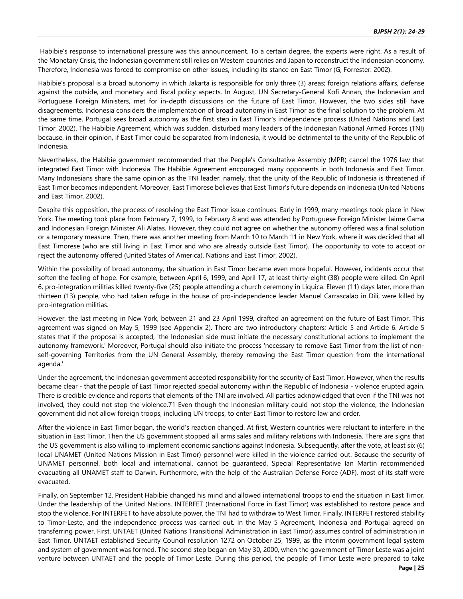Habibie's response to international pressure was this announcement. To a certain degree, the experts were right. As a result of the Monetary Crisis, the Indonesian government still relies on Western countries and Japan to reconstruct the Indonesian economy. Therefore, Indonesia was forced to compromise on other issues, including its stance on East Timor (G, Forrester. 2002).

Habibie's proposal is a broad autonomy in which Jakarta is responsible for only three (3) areas; foreign relations affairs, defense against the outside, and monetary and fiscal policy aspects. In August, UN Secretary-General Kofi Annan, the Indonesian and Portuguese Foreign Ministers, met for in-depth discussions on the future of East Timor. However, the two sides still have disagreements. Indonesia considers the implementation of broad autonomy in East Timor as the final solution to the problem. At the same time, Portugal sees broad autonomy as the first step in East Timor's independence process (United Nations and East Timor, 2002). The Habibie Agreement, which was sudden, disturbed many leaders of the Indonesian National Armed Forces (TNI) because, in their opinion, if East Timor could be separated from Indonesia, it would be detrimental to the unity of the Republic of Indonesia.

Nevertheless, the Habibie government recommended that the People's Consultative Assembly (MPR) cancel the 1976 law that integrated East Timor with Indonesia. The Habibie Agreement encouraged many opponents in both Indonesia and East Timor. Many Indonesians share the same opinion as the TNI leader, namely, that the unity of the Republic of Indonesia is threatened if East Timor becomes independent. Moreover, East Timorese believes that East Timor's future depends on Indonesia (United Nations and East Timor, 2002).

Despite this opposition, the process of resolving the East Timor issue continues. Early in 1999, many meetings took place in New York. The meeting took place from February 7, 1999, to February 8 and was attended by Portuguese Foreign Minister Jaime Gama and Indonesian Foreign Minister Ali Alatas. However, they could not agree on whether the autonomy offered was a final solution or a temporary measure. Then, there was another meeting from March 10 to March 11 in New York, where it was decided that all East Timorese (who are still living in East Timor and who are already outside East Timor). The opportunity to vote to accept or reject the autonomy offered (United States of America). Nations and East Timor, 2002).

Within the possibility of broad autonomy, the situation in East Timor became even more hopeful. However, incidents occur that soften the feeling of hope. For example, between April 6, 1999, and April 17, at least thirty-eight (38) people were killed. On April 6, pro-integration militias killed twenty-five (25) people attending a church ceremony in Liquica. Eleven (11) days later, more than thirteen (13) people, who had taken refuge in the house of pro-independence leader Manuel Carrascalao in Dili, were killed by pro-integration militias.

However, the last meeting in New York, between 21 and 23 April 1999, drafted an agreement on the future of East Timor. This agreement was signed on May 5, 1999 (see Appendix 2). There are two introductory chapters; Article 5 and Article 6. Article 5 states that if the proposal is accepted, 'the Indonesian side must initiate the necessary constitutional actions to implement the autonomy framework.' Moreover, Portugal should also initiate the process 'necessary to remove East Timor from the list of nonself-governing Territories from the UN General Assembly, thereby removing the East Timor question from the international agenda.'

Under the agreement, the Indonesian government accepted responsibility for the security of East Timor. However, when the results became clear - that the people of East Timor rejected special autonomy within the Republic of Indonesia - violence erupted again. There is credible evidence and reports that elements of the TNI are involved. All parties acknowledged that even if the TNI was not involved, they could not stop the violence.71 Even though the Indonesian military could not stop the violence, the Indonesian government did not allow foreign troops, including UN troops, to enter East Timor to restore law and order.

After the violence in East Timor began, the world's reaction changed. At first, Western countries were reluctant to interfere in the situation in East Timor. Then the US government stopped all arms sales and military relations with Indonesia. There are signs that the US government is also willing to implement economic sanctions against Indonesia. Subsequently, after the vote, at least six (6) local UNAMET (United Nations Mission in East Timor) personnel were killed in the violence carried out. Because the security of UNAMET personnel, both local and international, cannot be guaranteed, Special Representative Ian Martin recommended evacuating all UNAMET staff to Darwin. Furthermore, with the help of the Australian Defense Force (ADF), most of its staff were evacuated.

Finally, on September 12, President Habibie changed his mind and allowed international troops to end the situation in East Timor. Under the leadership of the United Nations, INTERFET (International Force in East Timor) was established to restore peace and stop the violence. For INTERFET to have absolute power, the TNI had to withdraw to West Timor. Finally, INTERFET restored stability to Timor-Leste, and the independence process was carried out. In the May 5 Agreement, Indonesia and Portugal agreed on transferring power. First, UNTAET (United Nations Transitional Administration in East Timor) assumes control of administration in East Timor. UNTAET established Security Council resolution 1272 on October 25, 1999, as the interim government legal system and system of government was formed. The second step began on May 30, 2000, when the government of Timor Leste was a joint venture between UNTAET and the people of Timor Leste. During this period, the people of Timor Leste were prepared to take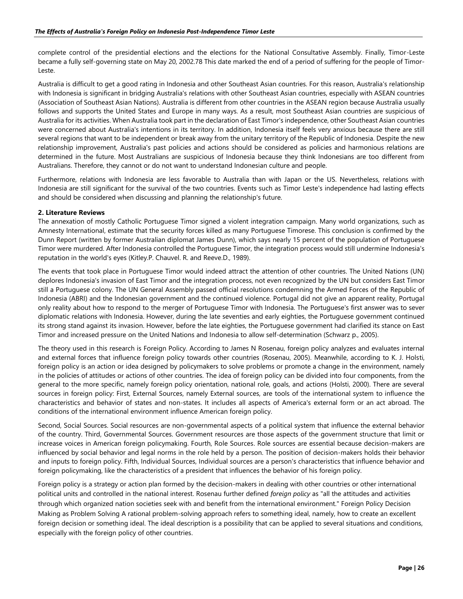complete control of the presidential elections and the elections for the National Consultative Assembly. Finally, Timor-Leste became a fully self-governing state on May 20, 2002.78 This date marked the end of a period of suffering for the people of Timor-Leste.

Australia is difficult to get a good rating in Indonesia and other Southeast Asian countries. For this reason, Australia's relationship with Indonesia is significant in bridging Australia's relations with other Southeast Asian countries, especially with ASEAN countries (Association of Southeast Asian Nations). Australia is different from other countries in the ASEAN region because Australia usually follows and supports the United States and Europe in many ways. As a result, most Southeast Asian countries are suspicious of Australia for its activities. When Australia took part in the declaration of East Timor's independence, other Southeast Asian countries were concerned about Australia's intentions in its territory. In addition, Indonesia itself feels very anxious because there are still several regions that want to be independent or break away from the unitary territory of the Republic of Indonesia. Despite the new relationship improvement, Australia's past policies and actions should be considered as policies and harmonious relations are determined in the future. Most Australians are suspicious of Indonesia because they think Indonesians are too different from Australians. Therefore, they cannot or do not want to understand Indonesian culture and people.

Furthermore, relations with Indonesia are less favorable to Australia than with Japan or the US. Nevertheless, relations with Indonesia are still significant for the survival of the two countries. Events such as Timor Leste's independence had lasting effects and should be considered when discussing and planning the relationship's future.

### **2. Literature Reviews**

The annexation of mostly Catholic Portuguese Timor signed a violent integration campaign. Many world organizations, such as Amnesty International, estimate that the security forces killed as many Portuguese Timorese. This conclusion is confirmed by the Dunn Report (written by former Australian diplomat James Dunn), which says nearly 15 percent of the population of Portuguese Timor were murdered. After Indonesia controlled the Portuguese Timor, the integration process would still undermine Indonesia's reputation in the world's eyes (Kitley.P. Chauvel. R. and Reeve.D., 1989).

The events that took place in Portuguese Timor would indeed attract the attention of other countries. The United Nations (UN) deplores Indonesia's invasion of East Timor and the integration process, not even recognized by the UN but considers East Timor still a Portuguese colony. The UN General Assembly passed official resolutions condemning the Armed Forces of the Republic of Indonesia (ABRI) and the Indonesian government and the continued violence. Portugal did not give an apparent reality, Portugal only reality about how to respond to the merger of Portuguese Timor with Indonesia. The Portuguese's first answer was to sever diplomatic relations with Indonesia. However, during the late seventies and early eighties, the Portuguese government continued its strong stand against its invasion. However, before the late eighties, the Portuguese government had clarified its stance on East Timor and increased pressure on the United Nations and Indonesia to allow self-determination (Schwarz p., 2005).

The theory used in this research is Foreign Policy. According to James N Rosenau, foreign policy analyzes and evaluates internal and external forces that influence foreign policy towards other countries (Rosenau, 2005). Meanwhile, according to K. J. Holsti, foreign policy is an action or idea designed by policymakers to solve problems or promote a change in the environment, namely in the policies of attitudes or actions of other countries. The idea of foreign policy can be divided into four components, from the general to the more specific, namely foreign policy orientation, national role, goals, and actions (Holsti, 2000). There are several sources in foreign policy: First, External Sources, namely External sources, are tools of the international system to influence the characteristics and behavior of states and non-states. It includes all aspects of America's external form or an act abroad. The conditions of the international environment influence American foreign policy.

Second, Social Sources. Social resources are non-governmental aspects of a political system that influence the external behavior of the country. Third, Governmental Sources. Government resources are those aspects of the government structure that limit or increase voices in American foreign policymaking. Fourth, Role Sources. Role sources are essential because decision-makers are influenced by social behavior and legal norms in the role held by a person. The position of decision-makers holds their behavior and inputs to foreign policy. Fifth, Individual Sources, Individual sources are a person's characteristics that influence behavior and foreign policymaking, like the characteristics of a president that influences the behavior of his foreign policy.

Foreign policy is a strategy or action plan formed by the decision-makers in dealing with other countries or other international political units and controlled in the national interest. Rosenau further defined *foreign policy* as "all the attitudes and activities through which organized nation societies seek with and benefit from the international environment." Foreign Policy Decision Making as Problem Solving A rational problem-solving approach refers to something ideal, namely, how to create an excellent foreign decision or something ideal. The ideal description is a possibility that can be applied to several situations and conditions, especially with the foreign policy of other countries.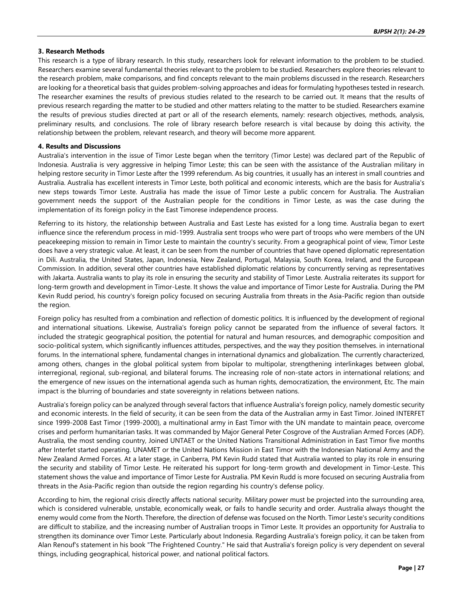#### **3. Research Methods**

This research is a type of library research. In this study, researchers look for relevant information to the problem to be studied. Researchers examine several fundamental theories relevant to the problem to be studied. Researchers explore theories relevant to the research problem, make comparisons, and find concepts relevant to the main problems discussed in the research. Researchers are looking for a theoretical basis that guides problem-solving approaches and ideas for formulating hypotheses tested in research. The researcher examines the results of previous studies related to the research to be carried out. It means that the results of previous research regarding the matter to be studied and other matters relating to the matter to be studied. Researchers examine the results of previous studies directed at part or all of the research elements, namely: research objectives, methods, analysis, preliminary results, and conclusions. The role of library research before research is vital because by doing this activity, the relationship between the problem, relevant research, and theory will become more apparent.

#### **4. Results and Discussions**

Australia's intervention in the issue of Timor Leste began when the territory (Timor Leste) was declared part of the Republic of Indonesia. Australia is very aggressive in helping Timor Leste; this can be seen with the assistance of the Australian military in helping restore security in Timor Leste after the 1999 referendum. As big countries, it usually has an interest in small countries and Australia. Australia has excellent interests in Timor Leste, both political and economic interests, which are the basis for Australia's new steps towards Timor Leste. Australia has made the issue of Timor Leste a public concern for Australia. The Australian government needs the support of the Australian people for the conditions in Timor Leste, as was the case during the implementation of its foreign policy in the East Timorese independence process.

Referring to its history, the relationship between Australia and East Leste has existed for a long time. Australia began to exert influence since the referendum process in mid-1999. Australia sent troops who were part of troops who were members of the UN peacekeeping mission to remain in Timor Leste to maintain the country's security. From a geographical point of view, Timor Leste does have a very strategic value. At least, it can be seen from the number of countries that have opened diplomatic representation in Dili. Australia, the United States, Japan, Indonesia, New Zealand, Portugal, Malaysia, South Korea, Ireland, and the European Commission. In addition, several other countries have established diplomatic relations by concurrently serving as representatives with Jakarta. Australia wants to play its role in ensuring the security and stability of Timor Leste. Australia reiterates its support for long-term growth and development in Timor-Leste. It shows the value and importance of Timor Leste for Australia. During the PM Kevin Rudd period, his country's foreign policy focused on securing Australia from threats in the Asia-Pacific region than outside the region.

Foreign policy has resulted from a combination and reflection of domestic politics. It is influenced by the development of regional and international situations. Likewise, Australia's foreign policy cannot be separated from the influence of several factors. It included the strategic geographical position, the potential for natural and human resources, and demographic composition and socio-political system, which significantly influences attitudes, perspectives, and the way they position themselves. in international forums. In the international sphere, fundamental changes in international dynamics and globalization. The currently characterized, among others, changes in the global political system from bipolar to multipolar, strengthening interlinkages between global, interregional, regional, sub-regional, and bilateral forums. The increasing role of non-state actors in international relations; and the emergence of new issues on the international agenda such as human rights, democratization, the environment, Etc. The main impact is the blurring of boundaries and state sovereignty in relations between nations.

Australia's foreign policy can be analyzed through several factors that influence Australia's foreign policy, namely domestic security and economic interests. In the field of security, it can be seen from the data of the Australian army in East Timor. Joined INTERFET since 1999-2008 East Timor (1999-2000), a multinational army in East Timor with the UN mandate to maintain peace, overcome crises and perform humanitarian tasks. It was commanded by Major General Peter Cosgrove of the Australian Armed Forces (ADF). Australia, the most sending country, Joined UNTAET or the United Nations Transitional Administration in East Timor five months after Interfet started operating. UNAMET or the United Nations Mission in East Timor with the Indonesian National Army and the New Zealand Armed Forces. At a later stage, in Canberra, PM Kevin Rudd stated that Australia wanted to play its role in ensuring the security and stability of Timor Leste. He reiterated his support for long-term growth and development in Timor-Leste. This statement shows the value and importance of Timor Leste for Australia. PM Kevin Rudd is more focused on securing Australia from threats in the Asia-Pacific region than outside the region regarding his country's defense policy.

According to him, the regional crisis directly affects national security. Military power must be projected into the surrounding area, which is considered vulnerable, unstable, economically weak, or fails to handle security and order. Australia always thought the enemy would come from the North. Therefore, the direction of defense was focused on the North. Timor Leste's security conditions are difficult to stabilize, and the increasing number of Australian troops in Timor Leste. It provides an opportunity for Australia to strengthen its dominance over Timor Leste. Particularly about Indonesia. Regarding Australia's foreign policy, it can be taken from Alan Renouf's statement in his book "The Frightened Country." He said that Australia's foreign policy is very dependent on several things, including geographical, historical power, and national political factors.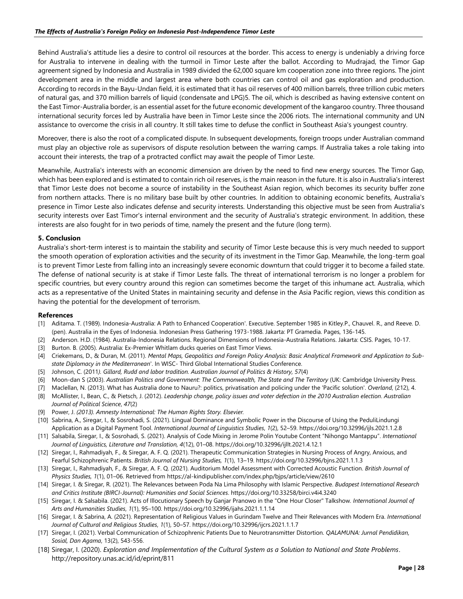Behind Australia's attitude lies a desire to control oil resources at the border. This access to energy is undeniably a driving force for Australia to intervene in dealing with the turmoil in Timor Leste after the ballot. According to Mudrajad, the Timor Gap agreement signed by Indonesia and Australia in 1989 divided the 62,000 square km cooperation zone into three regions. The joint development area in the middle and largest area where both countries can control oil and gas exploration and production. According to records in the Bayu-Undan field, it is estimated that it has oil reserves of 400 million barrels, three trillion cubic meters of natural gas, and 370 million barrels of liquid (condensate and LPG)5. The oil, which is described as having extensive content on the East Timor-Australia border, is an essential asset for the future economic development of the kangaroo country. Three thousand international security forces led by Australia have been in Timor Leste since the 2006 riots. The international community and UN assistance to overcome the crisis in all country. It still takes time to defuse the conflict in Southeast Asia's youngest country.

Moreover, there is also the root of a complicated dispute. In subsequent developments, foreign troops under Australian command must play an objective role as supervisors of dispute resolution between the warring camps. If Australia takes a role taking into account their interests, the trap of a protracted conflict may await the people of Timor Leste.

Meanwhile, Australia's interests with an economic dimension are driven by the need to find new energy sources. The Timor Gap, which has been explored and is estimated to contain rich oil reserves, is the main reason in the future. It is also in Australia's interest that Timor Leste does not become a source of instability in the Southeast Asian region, which becomes its security buffer zone from northern attacks. There is no military base built by other countries. In addition to obtaining economic benefits, Australia's presence in Timor Leste also indicates defense and security interests. Understanding this objective must be seen from Australia's security interests over East Timor's internal environment and the security of Australia's strategic environment. In addition, these interests are also fought for in two periods of time, namely the present and the future (long term).

#### **5. Conclusion**

Australia's short-term interest is to maintain the stability and security of Timor Leste because this is very much needed to support the smooth operation of exploration activities and the security of its investment in the Timor Gap. Meanwhile, the long-term goal is to prevent Timor Leste from falling into an increasingly severe economic downturn that could trigger it to become a failed state. The defense of national security is at stake if Timor Leste falls. The threat of international terrorism is no longer a problem for specific countries, but every country around this region can sometimes become the target of this inhumane act. Australia, which acts as a representative of the United States in maintaining security and defense in the Asia Pacific region, views this condition as having the potential for the development of terrorism.

#### **References**

- [1] Aditama. T. (1989). Indonesia-Australia: A Path to Enhanced Cooperation'. Executive. September 1985 in Kitley.P., Chauvel. R., and Reeve. D. (pen). Australia in the Eyes of Indonesia. Indonesian Press Gathering 1973-1988. Jakarta: PT Gramedia. Pages, 136-145.
- [2] Anderson. H.D. (1984). Australia-Indonesia Relations. Regional Dimensions of Indonesia-Australia Relations. Jakarta: CSIS. Pages, 10-17.
- [3] Burton. B. (2005). Australia: Ex-Premier Whitlam ducks queries on East Timor Views.
- [4] Criekemans, D., & Duran, M. (2011). *Mental Maps, Geopolitics and Foreign Policy Analysis: Basic Analytical Framework and Application to Substate Diplomacy in the Mediterranean*'. In WISC- Third Global International Studies Conference.
- [5] Johnson, C. (2011*). Gillard, Rudd and labor tradition. Australian Journal of Politics & History, 57*(4)
- [6] Moon-dan S (2003). *Australian Politics and Government: The Commonwealth, The State and The Territory* (UK: Cambridge University Press.
- [7] Maclellan, N. (2013). What has Australia done to Nauru?: politics, privatisation and policing under the 'Pacific solution'. *Overland*, (212), 4.
- [8] McAllister, I., Bean, C., & Pietsch, J. (2012). *Leadership change, policy issues and voter defection in the 2010 Australian election*. *Australian Journal of Political Science*, *47*(2)
- [9] Power, J. *(2013). Amnesty International: The Human Rights Story. Elsevier.*
- [10] Sabrina, A., Siregar, I., & Sosrohadi, S. (2021). Lingual Dominance and Symbolic Power in the Discourse of Using the PeduliLindungi Application as a Digital Payment Tool. *International Journal of Linguistics Studies*, *1*(2), 52–59.<https://doi.org/10.32996/ijls.2021.1.2.8>
- [11] Salsabila, Siregar, I., & Sosrohadi, S. (2021). Analysis of Code Mixing in Jerome Polin Youtube Content "Nihongo Mantappu". *International Journal of Linguistics, Literature and Translation, 4*(12), 01–08. [https://doi.org/10.32996/ijllt.2021.4.12.1](https://deref-mail.com/mail/client/JumWKVgfk4Q/dereferrer/?redirectUrl=https%3A%2F%2Fdoi.org%2F10.32996%2Fijllt.2021.4.12.1)
- [12] Siregar, I., Rahmadiyah, F., & Siregar, A. F. Q. (2021). Therapeutic Communication Strategies in Nursing Process of Angry, Anxious, and Fearful Schizophrenic Patients. *British Journal of Nursing Studies, 1*(1), 13–19. [https://doi.org/10.32996/bjns.2021.1.1.3](https://deref-mail.com/mail/client/BDaozWSeX0E/dereferrer/?redirectUrl=https%3A%2F%2Fdoi.org%2F10.32996%2Fbjns.2021.1.1.3)
- [13] Siregar, I., Rahmadiyah, F., & Siregar, A. F. Q. (2021). Auditorium Model Assessment with Corrected Acoustic Function. *British Journal of Physics Studies, 1*(1), 01–06. Retrieved from [https://al-kindipublisher.com/index.php/bjps/article/view/2610](https://deref-mail.com/mail/client/f6ubxmwNjF8/dereferrer/?redirectUrl=https%3A%2F%2Fal-kindipublisher.com%2Findex.php%2Fbjps%2Farticle%2Fview%2F2610)
- [14] Siregar, I. & Siregar, R. (2021). [The Relevances between Poda Na Lima Philosophy with Islamic Perspective.](https://scholar.google.com/scholar?oi=bibs&cluster=7810376623894406672&btnI=1&hl=en) *Budapest International Research and Critics Institute (BIRCI-Journal): Humanities and Social Sciences*. <https://doi.org/10.33258/birci.v4i4.3240>

[15] Siregar, I. & Salsabila. (2021). Acts of Illocutionary Speech by Ganjar Pranowo in the "One Hour Closer" Talkshow. *International Journal of Arts and Humanities Studies*, *1*(1), 95–100. https://doi.org/10.32996/ijahs.2021.1.1.14

- [16] Siregar, I. & Sabrina, A. (2021). Representation of Religious Values in Gurindam Twelve and Their Relevances with Modern Era. *International Journal of Cultural and Religious Studies*, *1*(1), 50–57. https://doi.org/10.32996/ijcrs.2021.1.1.7
- [17] Siregar, I. (2021). Verbal Communication of Schizophrenic Patients Due to Neurotransmitter Distortion. *QALAMUNA: Jurnal Pendidikan, Sosial, Dan Agama*, 13(2), 543-556.
- [18] Siregar, I. (2020). *Exploration and Implementation of the Cultural System as a Solution to National and State Problems*. http://repository.unas.ac.id/id/eprint/811